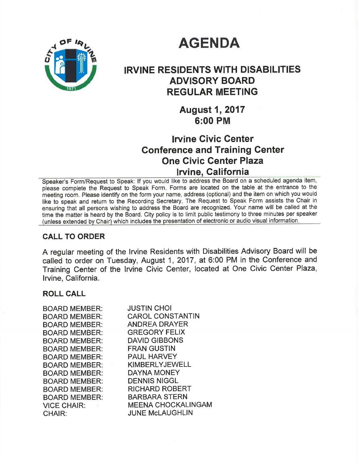# **AGENDA**



# IRVINE RESIDENTS WITH DISABILITIES ADVISORY BOARD REGULAR MEETING

August 1, 2017 6:00 PM

# Irvine Givic Center Gonference and Training Genter One Civic Center Plaza Irvine, California

Speaker's Form/Request to Speak: lf you would like to address the Board on a scheduled agenda item, please complete the Request to Speak Form. Forms are located on the table at the entrance to the meeting room. Please identify on the form your name, address (optional) and the item on which you would like to speak and return to the Recording Secretary. The Request to Speak Form assists the Chair in ensuring that all persons wishing to address the Board are recognized. Your name will be called at the time the matter is heard by the Board. City policy is to limit public testimony to three minutes per speaker (unless extended by Chair) which includes the presentation of electronic or audio visual information.

### CALL TO ORDER

A regular meeting of the lrvine Residents with Disabilities Advisory Board will be called to order on Tuesday, August 1, 2017, at 6:00 PM in the Conference and Training Center of the lrvine Civic Center, located at One Civic Center Plaza, lrvine, Galifornia.

### ROLL CALL

| BOARD MEMBER:                        | <b>JUSTIN CHOI</b>        |
|--------------------------------------|---------------------------|
| <b>BOARD MEMBER:</b>                 | <b>CAROL CONSTANTIN</b>   |
| <b>BOARD MEMBER:</b>                 | <b>ANDREA DRAYER</b>      |
| <b>BOARD MEMBER:</b>                 | <b>GREGORY FELIX</b>      |
| <b>BOARD MEMBER:</b>                 | <b>DAVID GIBBONS</b>      |
| <b>BOARD MEMBER:</b>                 | <b>FRAN GUSTIN</b>        |
| <b>BOARD MEMBER:</b>                 | <b>PAUL HARVEY</b>        |
| <b>BOARD MEMBER:</b><br>and the con- | <b>KIMBERLYJEWELL</b>     |
| <b>BOARD MEMBER:</b>                 | <b>DAYNA MONEY</b>        |
| <b>BOARD MEMBER:</b>                 | <b>DENNIS NIGGL</b>       |
| <b>BOARD MEMBER:</b>                 | <b>RICHARD ROBERT</b>     |
| <b>BOARD MEMBER:</b>                 | <b>BARBARA STERN</b>      |
| VICE CHAIR: New York 1997            | <b>MEENA CHOCKALINGAM</b> |
| CHAIR:                               | <b>JUNE McLAUGHLIN</b>    |
|                                      |                           |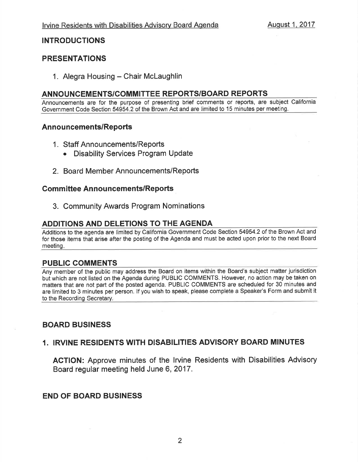### INTRODUCTIONS

### PRESENTATIONS

1. Alegra Housing - Chair McLaughlin

### ANNOUNCEMENTS/COMMITTEE REPORTS/BOARD REPORTS

Announcements are for the purpose of presenting brief comments or reports, are subject California Government Code Section 54954.2 of the Brown Act and are limited to 15 minutes per meeting.

#### Announcements/Reports

- <sup>1</sup>. Staff Announcements/Reports
	- . Disability Services Program Update
- 2. Board Member Announcements/Reports

#### **Committee Announcements/Reports**

3. Community Awards Program Nominations

### ADDITIONS AND DELETIONS TO THE AGENDA

Additions to the agenda are limited by California Government Code Section 54954.2 of the Brown Act and for those items that arise after the posting of the Agenda and must be acted upon prior to the next Board meeting

#### PUBLIC GOMMENTS

Any member of the public may address the Board on items within the Board's subject matter jurisdiction but which are not listed on the Agenda during PUBLIC COMMENTS. However, no action may be taken on matters that are not part of the posted agenda. PUBLIC COMMENTS are scheduled for 30 minutes and are limited to 3 minutes per person. lf you wish to speak, please complete a Speaker's Form and submit it to the Recording Secretary.

### BOARD BUSINESS

### 1. IRVINE RESIDENTS WITH DISABILITIES ADVISORY BOARD MINUTES

AGTION: Approve minutes of the lrvine Residents with Disabilities Advisory Board regular meeting held June 6,2017.

### END OF BOARD BUSINESS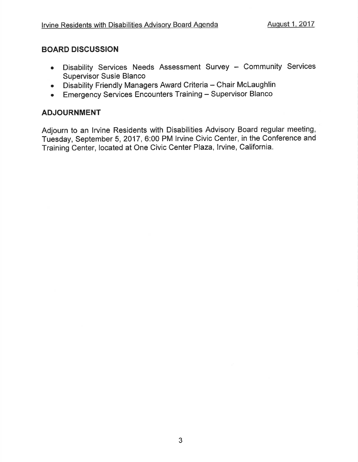### BOARD DISCUSSION

- Disability Services Needs Assessment Survey Community Services Supervisor Susie Blanco
- Disability Friendly Managers Award Criteria Chair McLaughlin
- Emergency Services Encounters Training Supervisor Blanco

### ADJOURNMENT

Adjourn to an lrvine Residents with Disabilities Advisory Board regular meeting, Tuesday, September 5,2017, 6:00 PM lrvine Civic Center, in the Conference and Training Center, located at One Civic Center Plaza, Irvine, California.